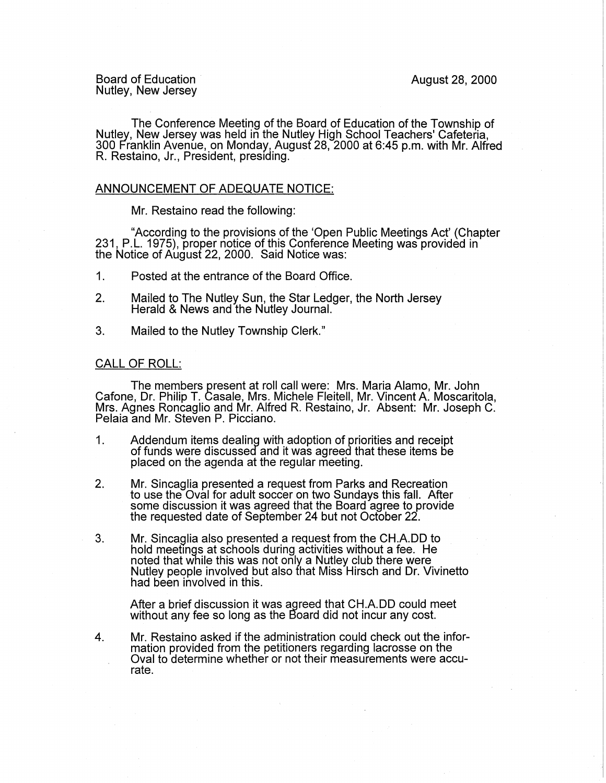Board of Education Board of Education August 28, 2000<br>Nutley, New Jersey

The Conference Meeting of the Board of Education of the Township of Nutley, New Jersey was held in the Nutley High School Teachers' Cafeteria, 300 Franklin Avenue, on Monday, August 28, 2000 at 6:45 p.m. with Mr. Alfred R. Restaino, Jr., President, presiding.

## ANNOUNCEMENT OF ADEQUATE NOTICE:

Mr. Restaino read the following:

"According to the provisions of the 'Open Public Meetings Act' (Chapter 231, P.L. 1975), proper notice of this Conference Meeting was provided in the Notice of August 22, 2000. Said Notice was:

- 1. Posted at the entrance of the Board Office.
- 2. Mailed to The Nutley Sun, the Star Ledger, the North Jersey Herald & News and the Nutley Journal.
- 3. Mailed to the Nutley Township Clerk."

## CALL OF ROLL:

The members present at roll call were: Mrs. Maria Alamo, Mr. John Cafone, Dr. Philip T. Casale, Mrs. Michele Fleitell, Mr. Vincent A. Moscaritola, Mrs. Agnes Roncaglio and Mr. Alfred R. Restaino, Jr. Absent: Mr. Joseph C. Pelaia and Mr. Steven P. Picciano.

- 1. Addendum items dealing with adoption of priorities and receipt of funds were discussed and it was agreed that these items be placed on the agenda at the regular meeting.
- 2. Mr. Sincaglia presented a request from Parks and Recreation to use the Oval for adult soccer on two Sundays this fall. After some discussion it was agreed that the Board agree to provide the requested date of September 24 but not October 22.
- 3. Mr. Sincaglia also presented a request from the CH.A.DD to hold meetings at schools during activities without a fee. He noted that while this was not only a Nutley club there were Nutley people involved but also that Miss Hirsch and Dr. Vivinetto had been involved in this.

After a brief discussion it was agreed that CH.A.DD could meet without any fee so long as the Board did not incur any cost.

4. Mr. Restaino asked if the administration could check out the information provided from the petitioners regarding lacrosse on the Oval to determine whether or not their measurements were accurate.